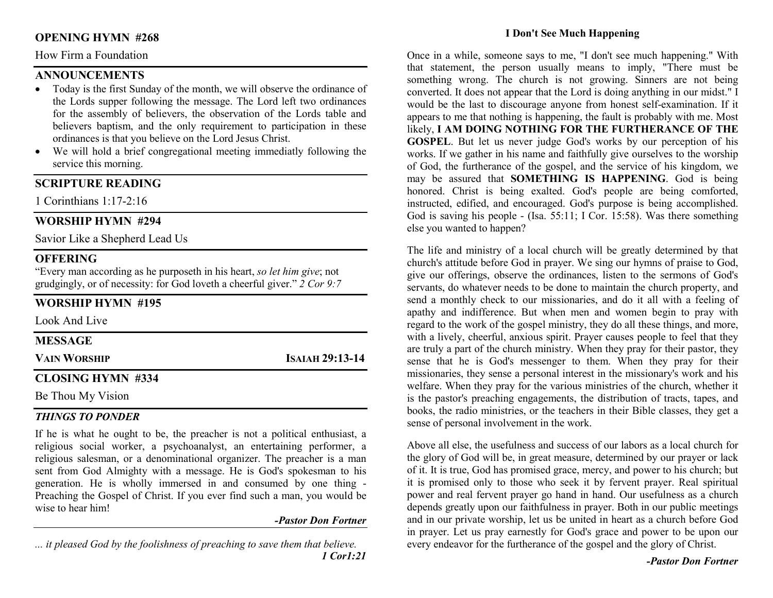# OPENING HYMN #268

# How Firm a Foundation

# **ANNOUNCEMENTS**

- Today is the first Sunday of the month, we will observe the ordinance of the Lords supper following the message. The Lord left two ordinances for the assembly of believers, the observation of the Lords table and believers baptism, and the only requirement to participation in these ordinances is that you believe on the Lord Jesus Christ.
- We will hold a brief congregational meeting immediatly following the service this morning.

# SCRIPTURE READING

1 Corinthians 1:17-2:16

# WORSHIP HYMN #294

Savior Like a Shepherd Lead Us

# **OFFERING**

"Every man according as he purposeth in his heart, so let him give; not grudgingly, or of necessity: for God loveth a cheerful giver."  $2$  Cor 9:7

# WORSHIP HYMN #195

Look And Live

| <b>MESSAGE</b>           |                 |
|--------------------------|-----------------|
| <b>VAIN WORSHIP</b>      | ISAIAH 29:13-14 |
| <b>CLOSING HYMN #334</b> |                 |

# Be Thou My Vision

# THINGS TO PONDER

If he is what he ought to be, the preacher is not a political enthusiast, a religious social worker, a psychoanalyst, an entertaining performer, a religious salesman, or a denominational organizer. The preacher is a man sent from God Almighty with a message. He is God's spokesman to his generation. He is wholly immersed in and consumed by one thing - Preaching the Gospel of Christ. If you ever find such a man, you would be wise to hear him!

# -Pastor Don Fortner

... it pleased God by the foolishness of preaching to save them that believe. 1 Cor1:21

### I Don't See Much Happening

Once in a while, someone says to me, "I don't see much happening." With that statement, the person usually means to imply, "There must be something wrong. The church is not growing. Sinners are not being converted. It does not appear that the Lord is doing anything in our midst." I would be the last to discourage anyone from honest self-examination. If it appears to me that nothing is happening, the fault is probably with me. Most likely, I AM DOING NOTHING FOR THE FURTHERANCE OF THE GOSPEL. But let us never judge God's works by our perception of his works. If we gather in his name and faithfully give ourselves to the worship of God, the furtherance of the gospel, and the service of his kingdom, we may be assured that SOMETHING IS HAPPENING. God is being honored. Christ is being exalted. God's people are being comforted, instructed, edified, and encouraged. God's purpose is being accomplished. God is saving his people - (Isa. 55:11; I Cor. 15:58). Was there something else you wanted to happen?

The life and ministry of a local church will be greatly determined by that church's attitude before God in prayer. We sing our hymns of praise to God, give our offerings, observe the ordinances, listen to the sermons of God's servants, do whatever needs to be done to maintain the church property, and send a monthly check to our missionaries, and do it all with a feeling of apathy and indifference. But when men and women begin to pray with regard to the work of the gospel ministry, they do all these things, and more, with a lively, cheerful, anxious spirit. Prayer causes people to feel that they are truly a part of the church ministry. When they pray for their pastor, they sense that he is God's messenger to them. When they pray for their missionaries, they sense a personal interest in the missionary's work and his welfare. When they pray for the various ministries of the church, whether it is the pastor's preaching engagements, the distribution of tracts, tapes, and books, the radio ministries, or the teachers in their Bible classes, they get a sense of personal involvement in the work.

Above all else, the usefulness and success of our labors as a local church for the glory of God will be, in great measure, determined by our prayer or lack of it. It is true, God has promised grace, mercy, and power to his church; but it is promised only to those who seek it by fervent prayer. Real spiritual power and real fervent prayer go hand in hand. Our usefulness as a church depends greatly upon our faithfulness in prayer. Both in our public meetings and in our private worship, let us be united in heart as a church before God in prayer. Let us pray earnestly for God's grace and power to be upon our every endeavor for the furtherance of the gospel and the glory of Christ.

-Pastor Don Fortner